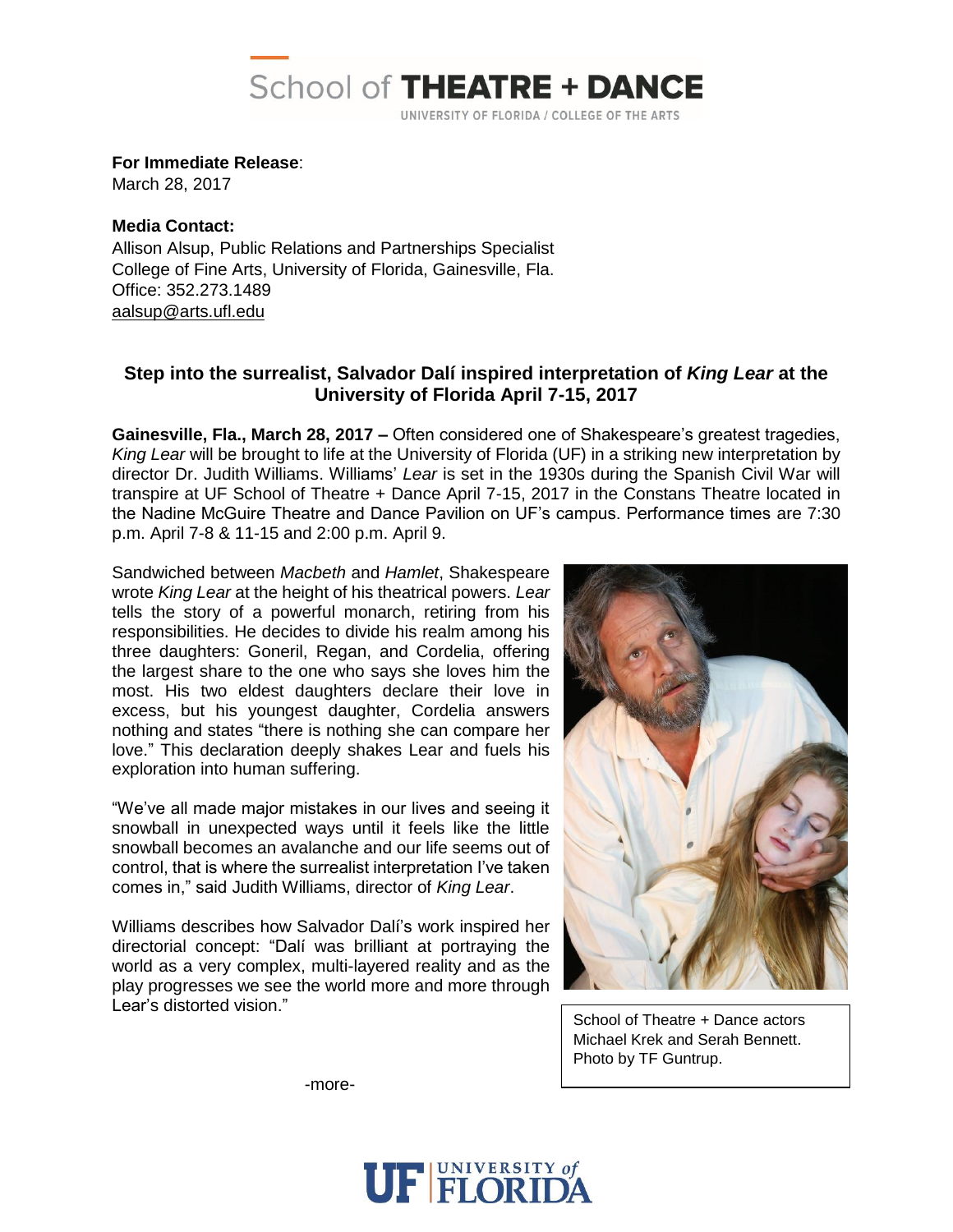

**For Immediate Release**:

March 28, 2017

**Media Contact:** Allison Alsup, Public Relations and Partnerships Specialist College of Fine Arts, University of Florida, Gainesville, Fla. Office: 352.273.1489 [aalsup@arts.ufl.edu](mailto:aalsup@arts.ufl.edu)

## **Step into the surrealist, Salvador Dalí inspired interpretation of** *King Lear* **at the University of Florida April 7-15, 2017**

**Gainesville, Fla., March 28, 2017 –** Often considered one of Shakespeare's greatest tragedies, *King Lear* will be brought to life at the University of Florida (UF) in a striking new interpretation by director Dr. Judith Williams. Williams' *Lear* is set in the 1930s during the Spanish Civil War will transpire at UF School of Theatre + Dance April 7-15, 2017 in the Constans Theatre located in the Nadine McGuire Theatre and Dance Pavilion on UF's campus. Performance times are 7:30 p.m. April 7-8 & 11-15 and 2:00 p.m. April 9.

Sandwiched between *Macbeth* and *Hamlet*, Shakespeare wrote *King Lear* at the height of his theatrical powers. *Lear* tells the story of a powerful monarch, retiring from his responsibilities. He decides to divide his realm among his three daughters: Goneril, Regan, and Cordelia, offering the largest share to the one who says she loves him the most. His two eldest daughters declare their love in excess, but his youngest daughter, Cordelia answers nothing and states "there is nothing she can compare her love." This declaration deeply shakes Lear and fuels his exploration into human suffering.

"We've all made major mistakes in our lives and seeing it snowball in unexpected ways until it feels like the little snowball becomes an avalanche and our life seems out of control, that is where the surrealist interpretation I've taken comes in," said Judith Williams, director of *King Lear*.

Williams describes how Salvador Dalí's work inspired her directorial concept: "Dalí was brilliant at portraying the world as a very complex, multi-layered reality and as the play progresses we see the world more and more through Lear's distorted vision."



School of Theatre + Dance actors Michael Krek and Serah Bennett. Photo by TF Guntrup.

-more-